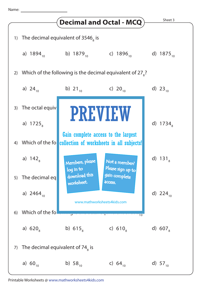